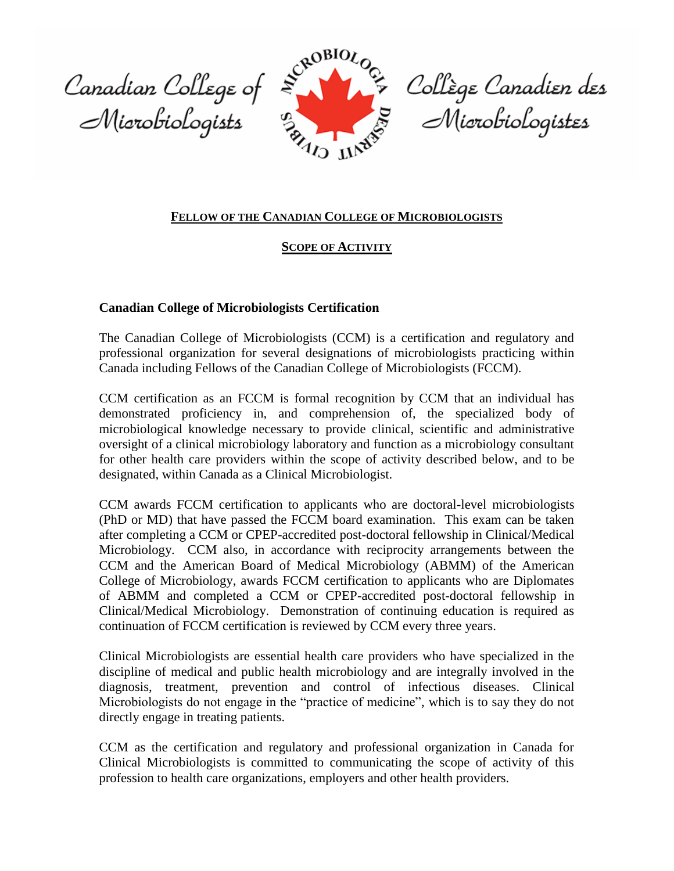Canadian College of<br>Microbiologists



Collège Canadien des<br>Microbiologistes

#### **FELLOW OF THE CANADIAN COLLEGE OF MICROBIOLOGISTS**

#### **SCOPE OF ACTIVITY**

#### **Canadian College of Microbiologists Certification**

The Canadian College of Microbiologists (CCM) is a certification and regulatory and professional organization for several designations of microbiologists practicing within Canada including Fellows of the Canadian College of Microbiologists (FCCM).

CCM certification as an FCCM is formal recognition by CCM that an individual has demonstrated proficiency in, and comprehension of, the specialized body of microbiological knowledge necessary to provide clinical, scientific and administrative oversight of a clinical microbiology laboratory and function as a microbiology consultant for other health care providers within the scope of activity described below, and to be designated, within Canada as a Clinical Microbiologist.

CCM awards FCCM certification to applicants who are doctoral-level microbiologists (PhD or MD) that have passed the FCCM board examination. This exam can be taken after completing a CCM or CPEP-accredited post-doctoral fellowship in Clinical/Medical Microbiology. CCM also, in accordance with reciprocity arrangements between the CCM and the American Board of Medical Microbiology (ABMM) of the American College of Microbiology, awards FCCM certification to applicants who are Diplomates of ABMM and completed a CCM or CPEP-accredited post-doctoral fellowship in Clinical/Medical Microbiology. Demonstration of continuing education is required as continuation of FCCM certification is reviewed by CCM every three years.

Clinical Microbiologists are essential health care providers who have specialized in the discipline of medical and public health microbiology and are integrally involved in the diagnosis, treatment, prevention and control of infectious diseases. Clinical Microbiologists do not engage in the "practice of medicine", which is to say they do not directly engage in treating patients.

CCM as the certification and regulatory and professional organization in Canada for Clinical Microbiologists is committed to communicating the scope of activity of this profession to health care organizations, employers and other health providers.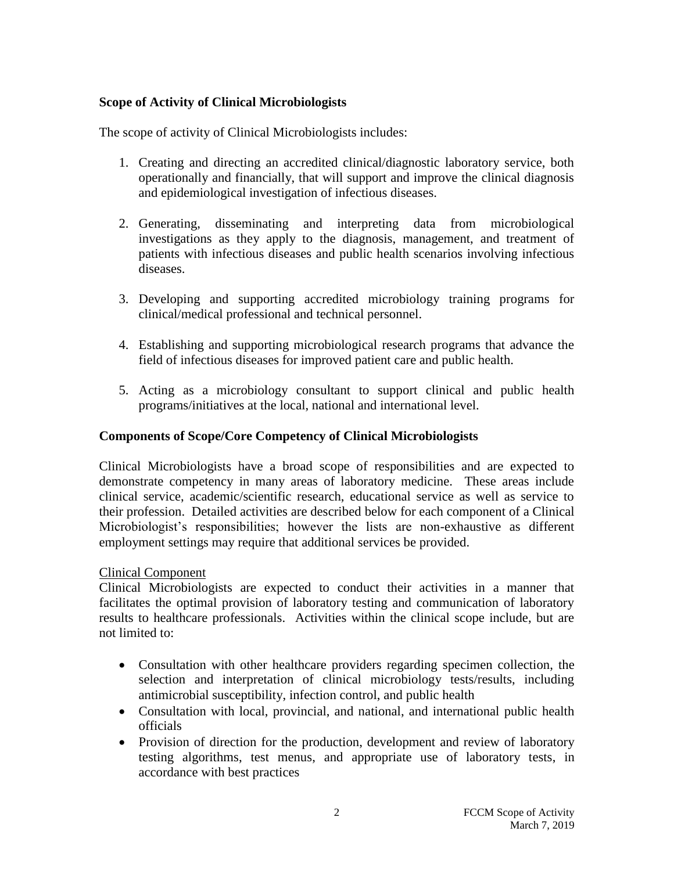# **Scope of Activity of Clinical Microbiologists**

The scope of activity of Clinical Microbiologists includes:

- 1. Creating and directing an accredited clinical/diagnostic laboratory service, both operationally and financially, that will support and improve the clinical diagnosis and epidemiological investigation of infectious diseases.
- 2. Generating, disseminating and interpreting data from microbiological investigations as they apply to the diagnosis, management, and treatment of patients with infectious diseases and public health scenarios involving infectious diseases.
- 3. Developing and supporting accredited microbiology training programs for clinical/medical professional and technical personnel.
- 4. Establishing and supporting microbiological research programs that advance the field of infectious diseases for improved patient care and public health.
- 5. Acting as a microbiology consultant to support clinical and public health programs/initiatives at the local, national and international level.

# **Components of Scope/Core Competency of Clinical Microbiologists**

Clinical Microbiologists have a broad scope of responsibilities and are expected to demonstrate competency in many areas of laboratory medicine. These areas include clinical service, academic/scientific research, educational service as well as service to their profession. Detailed activities are described below for each component of a Clinical Microbiologist's responsibilities; however the lists are non-exhaustive as different employment settings may require that additional services be provided.

# Clinical Component

Clinical Microbiologists are expected to conduct their activities in a manner that facilitates the optimal provision of laboratory testing and communication of laboratory results to healthcare professionals. Activities within the clinical scope include, but are not limited to:

- Consultation with other healthcare providers regarding specimen collection, the selection and interpretation of clinical microbiology tests/results, including antimicrobial susceptibility, infection control, and public health
- Consultation with local, provincial, and national, and international public health officials
- Provision of direction for the production, development and review of laboratory testing algorithms, test menus, and appropriate use of laboratory tests, in accordance with best practices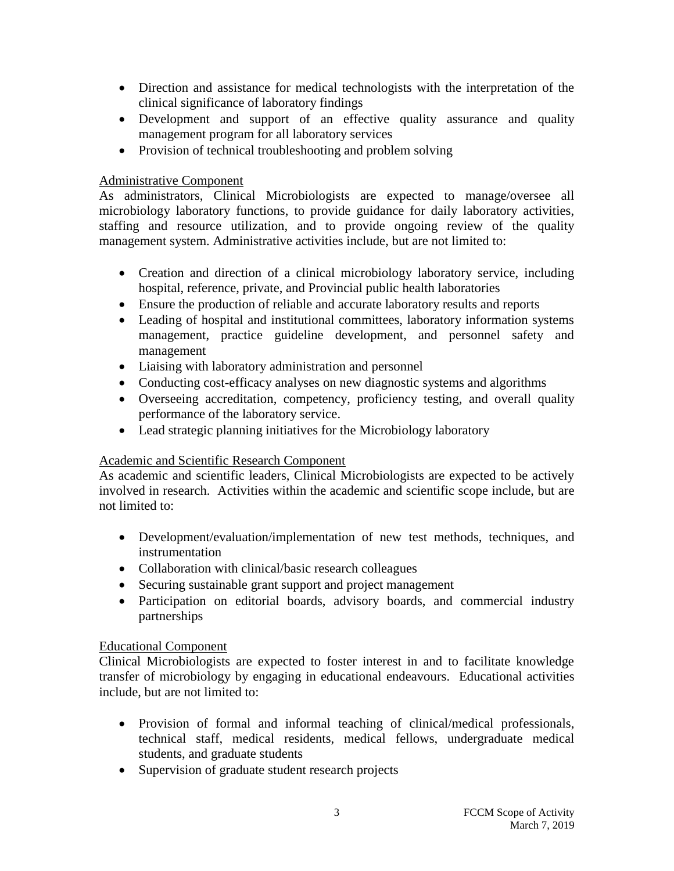- Direction and assistance for medical technologists with the interpretation of the clinical significance of laboratory findings
- Development and support of an effective quality assurance and quality management program for all laboratory services
- Provision of technical troubleshooting and problem solving

# Administrative Component

As administrators, Clinical Microbiologists are expected to manage/oversee all microbiology laboratory functions, to provide guidance for daily laboratory activities, staffing and resource utilization, and to provide ongoing review of the quality management system. Administrative activities include, but are not limited to:

- Creation and direction of a clinical microbiology laboratory service, including hospital, reference, private, and Provincial public health laboratories
- Ensure the production of reliable and accurate laboratory results and reports
- Leading of hospital and institutional committees, laboratory information systems management, practice guideline development, and personnel safety and management
- Liaising with laboratory administration and personnel
- Conducting cost-efficacy analyses on new diagnostic systems and algorithms
- Overseeing accreditation, competency, proficiency testing, and overall quality performance of the laboratory service.
- Lead strategic planning initiatives for the Microbiology laboratory

# Academic and Scientific Research Component

As academic and scientific leaders, Clinical Microbiologists are expected to be actively involved in research. Activities within the academic and scientific scope include, but are not limited to:

- Development/evaluation/implementation of new test methods, techniques, and instrumentation
- Collaboration with clinical/basic research colleagues
- Securing sustainable grant support and project management
- Participation on editorial boards, advisory boards, and commercial industry partnerships

# Educational Component

Clinical Microbiologists are expected to foster interest in and to facilitate knowledge transfer of microbiology by engaging in educational endeavours. Educational activities include, but are not limited to:

- Provision of formal and informal teaching of clinical/medical professionals, technical staff, medical residents, medical fellows, undergraduate medical students, and graduate students
- Supervision of graduate student research projects